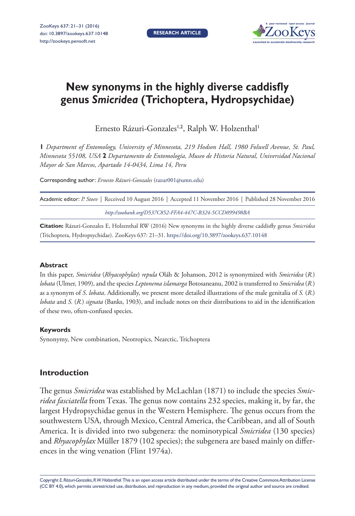

# **New synonyms in the highly diverse caddisfly genus** *Smicridea* **(Trichoptera, Hydropsychidae)**

Ernesto Rázuri-Gonzales<sup>1,2</sup>, Ralph W. Holzenthal<sup>1</sup>

**1** *Department of Entomology, University of Minnesota, 219 Hodson Hall, 1980 Folwell Avenue, St. Paul, Minnesota 55108, USA* **2** *Departamento de Entomología, Museo de Historia Natural, Universidad Nacional Mayor de San Marcos, Apartado 14-0434, Lima 14, Peru*

Corresponding author: *Ernesto Rázuri-Gonzales* [\(razur001@umn.edu](mailto:razur001@umn.edu))

| Academic editor: P. Stoev   Received 10 August 2016   Accepted 11 November 2016   Published 28 November 2016 |
|--------------------------------------------------------------------------------------------------------------|
| http://zoobank.org/D537C852-FFA4-447C-B324-5CCD099498BA                                                      |

**Citation:** Rázuri-Gonzales E, Holzenthal RW (2016) New synonyms in the highly diverse caddisfly genus *Smicridea* (Trichoptera, Hydropsychidae). ZooKeys 637: 21–31. <https://doi.org/10.3897/zookeys.637.10148>

## **Abstract**

In this paper, *Smicridea* (*Rhyacophylax*) *repula* Oláh & Johanson, 2012 is synonymized with *Smicridea* (*R.*) *lobata* (Ulmer, 1909), and the species *Leptonema islamarga* Botosaneanu, 2002 is transferred to *Smicridea* (*R.*) as a synonym of *S*. *lobata*. Additionally, we present more detailed illustrations of the male genitalia of *S.* (*R*.) *lobata* and *S.* (*R.*) *signata* (Banks, 1903), and include notes on their distributions to aid in the identification of these two, often-confused species.

## **Keywords**

Synonymy, New combination, Neotropics, Nearctic, Trichoptera

# **Introduction**

The genus *Smicridea* was established by McLachlan (1871) to include the species *Smicridea fasciatella* from Texas. The genus now contains 232 species, making it, by far, the largest Hydropsychidae genus in the Western Hemisphere. The genus occurs from the southwestern USA, through Mexico, Central America, the Caribbean, and all of South America. It is divided into two subgenera: the nominotypical *Smicridea* (130 species) and *Rhyacophylax* Müller 1879 (102 species); the subgenera are based mainly on differences in the wing venation (Flint 1974a).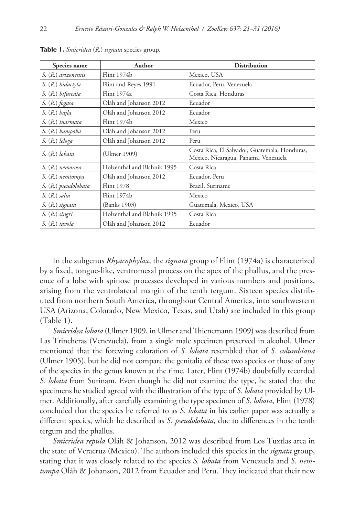| Species name         | Author                      | Distribution                                                                          |
|----------------------|-----------------------------|---------------------------------------------------------------------------------------|
| S. (R.) arizonensis  | Flint 1974b                 | Mexico, USA                                                                           |
| S. (R.) bidactyla    | Flint and Reyes 1991        | Ecuador, Peru, Venezuela                                                              |
| S. (R.) bifurcata    | Flint 1974a                 | Costa Rica, Honduras                                                                  |
| S. (R.) fogasa       | Oláh and Johanson 2012      | Ecuador                                                                               |
| $S. (R.)$ hajla      | Oláh and Johanson 2012      | Ecuador                                                                               |
| S. (R.) inarmata     | Flint 1974b                 | Mexico                                                                                |
| S. (R.) kampoka      | Oláh and Johanson 2012      | Peru                                                                                  |
| S. (R.) leloga       | Oláh and Johanson 2012      | Peru                                                                                  |
| S. (R.) lobata       | (Ulmer 1909)                | Costa Rica, El Salvador, Guatemala, Honduras,<br>Mexico, Nicaragua, Panama, Venezuela |
| S. (R.) nemorosa     | Holzenthal and Blahnik 1995 | Costa Rica                                                                            |
| S. (R.) nemtompa     | Oláh and Johanson 2012      | Ecuador, Peru                                                                         |
| S. (R.) pseudolobata | Flint 1978                  | Brazil, Suriname                                                                      |
| S. (R.) salta        | Flint 1974b                 | Mexico                                                                                |
| S. (R.) signata      | (Banks 1903)                | Guatemala, Mexico, USA                                                                |
| S. (R.) singri       | Holzenthal and Blahnik 1995 | Costa Rica                                                                            |
| S. (R.) tavola       | Oláh and Johanson 2012      | Ecuador                                                                               |

**Table 1.** *Smicridea* (*R.*) *signata* species group.

In the subgenus *Rhyacophylax*, the *signata* group of Flint (1974a) is characterized by a fixed, tongue-like, ventromesal process on the apex of the phallus, and the presence of a lobe with spinose processes developed in various numbers and positions, arising from the ventrolateral margin of the tenth tergum. Sixteen species distributed from northern South America, throughout Central America, into southwestern USA (Arizona, Colorado, New Mexico, Texas, and Utah) are included in this group (Table 1).

*Smicridea lobata* (Ulmer 1909, in Ulmer and Thienemann 1909) was described from Las Trincheras (Venezuela), from a single male specimen preserved in alcohol. Ulmer mentioned that the forewing coloration of *S. lobata* resembled that of *S. columbiana* (Ulmer 1905), but he did not compare the genitalia of these two species or those of any of the species in the genus known at the time. Later, Flint (1974b) doubtfully recorded *S. lobata* from Surinam. Even though he did not examine the type, he stated that the specimens he studied agreed with the illustration of the type of *S. lobata* provided by Ulmer. Additionally, after carefully examining the type specimen of *S*. *lobata*, Flint (1978) concluded that the species he referred to as *S. lobata* in his earlier paper was actually a different species, which he described as *S. pseudolobata*, due to differences in the tenth tergum and the phallus.

*Smicridea repula* Oláh & Johanson, 2012 was described from Los Tuxtlas area in the state of Veracruz (Mexico). The authors included this species in the *signata* group, stating that it was closely related to the species *S. lobata* from Venezuela and *S*. *nemtompa* Oláh & Johanson, 2012 from Ecuador and Peru. They indicated that their new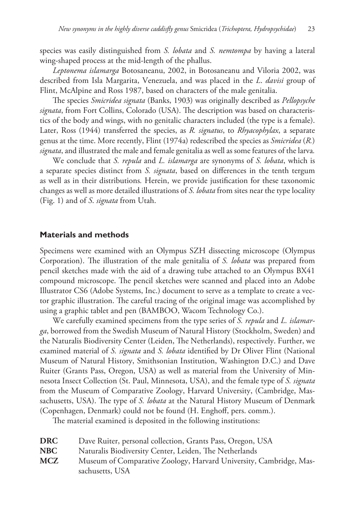species was easily distinguished from *S. lobata* and *S. nemtompa* by having a lateral wing-shaped process at the mid-length of the phallus.

*Leptonema islamarga* Botosaneanu, 2002, in Botosaneanu and Viloria 2002, was described from Isla Margarita, Venezuela, and was placed in the *L*. *davisi* group of Flint, McAlpine and Ross 1987, based on characters of the male genitalia.

The species *Smicridea signata* (Banks, 1903) was originally described as *Pellopsyche signata*, from Fort Collins, Colorado (USA). The description was based on characteristics of the body and wings, with no genitalic characters included (the type is a female). Later, Ross (1944) transferred the species, as *R. signatus*, to *Rhyacophylax*, a separate genus at the time. More recently, Flint (1974a) redescribed the species as *Smicridea* (*R.*) *signata*, and illustrated the male and female genitalia as well as some features of the larva*.*

We conclude that *S. repula* and *L. islamarga* are synonyms of *S. lobata*, which is a separate species distinct from *S. signata*, based on differences in the tenth tergum as well as in their distributions*.* Herein, we provide justification for these taxonomic changes as well as more detailed illustrations of *S. lobata* from sites near the type locality (Fig. 1) and of *S*. *signata* from Utah.

## **Materials and methods**

Specimens were examined with an Olympus SZH dissecting microscope (Olympus Corporation). The illustration of the male genitalia of *S. lobata* was prepared from pencil sketches made with the aid of a drawing tube attached to an Olympus BX41 compound microscope. The pencil sketches were scanned and placed into an Adobe Illustrator CS6 (Adobe Systems, Inc.) document to serve as a template to create a vector graphic illustration. The careful tracing of the original image was accomplished by using a graphic tablet and pen (BAMBOO, Wacom Technology Co.).

We carefully examined specimens from the type series of *S. repula* and *L. islamarga*, borrowed from the Swedish Museum of Natural History (Stockholm, Sweden) and the Naturalis Biodiversity Center (Leiden, The Netherlands), respectively. Further, we examined material of *S. signata* and *S. lobata* identified by Dr Oliver Flint (National Museum of Natural History, Smithsonian Institution, Washington D.C.) and Dave Ruiter (Grants Pass, Oregon, USA) as well as material from the University of Minnesota Insect Collection (St. Paul, Minnesota, USA), and the female type of *S. signata* from the Museum of Comparative Zoology, Harvard University, (Cambridge, Massachusetts, USA). The type of *S. lobata* at the Natural History Museum of Denmark (Copenhagen, Denmark) could not be found (H. Enghoff, pers. comm.).

The material examined is deposited in the following institutions:

| <b>DRC</b> | Dave Ruiter, personal collection, Grants Pass, Oregon, USA         |
|------------|--------------------------------------------------------------------|
| <b>NBC</b> | Naturalis Biodiversity Center, Leiden, The Netherlands             |
| <b>MCZ</b> | Museum of Comparative Zoology, Harvard University, Cambridge, Mas- |
|            | sachusetts, USA                                                    |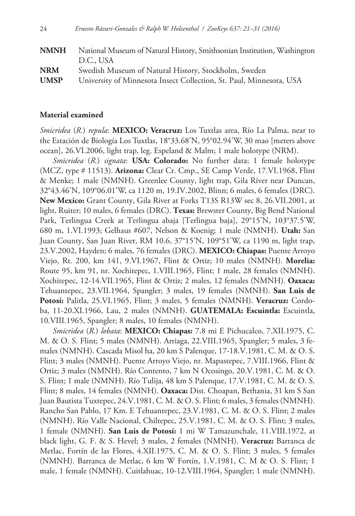| <b>NMNH</b> | National Museum of Natural History, Smithsonian Institution, Washington |
|-------------|-------------------------------------------------------------------------|
|             | D.C., USA                                                               |
| <b>NRM</b>  | Swedish Museum of Natural History, Stockholm, Sweden                    |
| <b>UMSP</b> | University of Minnesota Insect Collection, St. Paul, Minnesota, USA     |

#### **Material examined**

*Smicridea* (*R.*) *repula*: **MEXICO: Veracruz:** Los Tuxtlas area, Río La Palma, near to the Estación de Biología Los Tuxtlas, 18°33.68'N, 95°02.94'W, 30 mao [meters above ocean], 26.VI.2006, light trap, leg. Espeland & Malm; 1 male holotype (NRM).

*Smicridea* (*R.*) *signata*: **USA: Colorado:** No further data; 1 female holotype (MCZ, type # 11513). **Arizona:** Clear Cr. Cmp., SE Camp Verde, 17.VI.1968, Flint & Menke; 1 male (NMNH). Greenlee County, light trap, Gila River near Duncan, 32°43.46'N, 109°06.01'W, ca 1120 m, 19.IV.2002, Blinn; 6 males, 6 females (DRC). **New Mexico:** Grant County, Gila River at Forks T13S R13W sec 8, 26.VII.2001, at light, Ruiter; 10 males, 6 females (DRC). **Texas:** Brewster County, Big Bend National Park, Terlingua Creek at Terlingua abaja [Terlingua baja], 29°15'N, 103°37.5'W, 680 m, 1.VI.1993; Gelhaus #607, Nelson & Koenig; 1 male (NMNH). **Utah:** San Juan County, San Juan River, RM 10.6, 37°15'N, 109°51'W, ca 1190 m, light trap, 23.V.2002, Hayden; 6 males, 76 females (DRC). **MEXICO: Chiapas:** Puente Arroyo Viejo, Rt. 200, km 141, 9.VI.1967, Flint & Ortiz; 10 males (NMNH). **Morelia:** Route 95, km 91, nr. Xochitepec, 1.VIII.1965, Flint; 1 male, 28 females (NMNH). Xochitepec, 12-14.VII.1965, Flint & Ortiz; 2 males, 12 females (NMNH). **Oaxaca:**  Tehuantepec, 23.VII.1964, Spangler; 3 males, 19 females (NMNH). **San Luis de Potosí:** Palitla, 25.VI.1965, Flint; 3 males, 5 females (NMNH). **Veracruz:** Cordoba, 11-20.XI.1966, Lau, 2 males (NMNH). **GUATEMALA: Escuintla:** Escuintla, 10.VIII.1965, Spangler; 8 males, 10 females (NMNH).

*Smicridea* (*R.*) *lobata*: **MEXICO: Chiapas:** 7.8 mi E Pichucalco, 7.XII.1975, C. M. & O. S. Flint; 5 males (NMNH). Arriaga, 22.VIII.1965, Spangler; 5 males, 3 females (NMNH). Cascada Misol ha, 20 km S Palenque, 17-18.V.1981, C. M. & O. S. Flint; 3 males (NMNH). Puente Arroyo Viejo, nr. Mapastepec, 7.VIII.1966, Flint & Ortiz; 3 males (NMNH). Río Contento, 7 km N Ocosingo, 20.V.1981, C. M. & O. S. Flint; 1 male (NMNH). Río Tulija, 48 km S Palenque, 17.V.1981, C. M. & O. S. Flint; 8 males, 14 females (NMNH). **Oaxaca:** Dist. Choapan, Bethania, 31 km S San Juan Bautista Tuxtepec, 24.V.1981, C. M. & O. S. Flint; 6 males, 3 females (NMNH). Rancho San Pablo, 17 Km. E Tehuantepec, 23.V.1981, C. M. & O. S. Flint; 2 males (NMNH). Río Valle Nacional, Chiltepec, 25.V.1981, C. M. & O. S. Flint; 3 males, 1 female (NMNH). **San Luis de Potosí:** 1 mi W Tamazunchale, 11.VIII.1972, at black light, G. F. & S. Hevel; 3 males, 2 females (NMNH). **Veracruz:** Barranca de Metlac, Fortín de las Flores, 4.XII.1975, C. M. & O. S. Flint; 3 males, 5 females (NMNH). Barranca de Metlac, 6 km W Fortín, 1.V.1981, C. M & O. S. Flint; 1 male, 1 female (NMNH). Cuitlahuac, 10-12.VIII.1964, Spangler; 1 male (NMNH).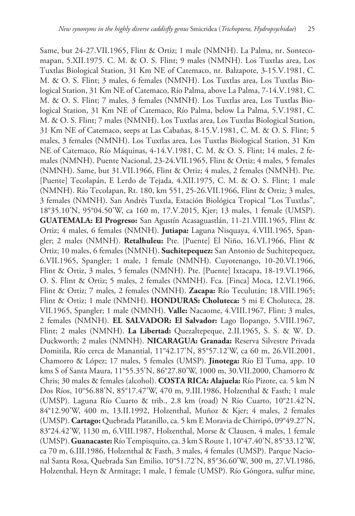Same, but 24-27.VII.1965, Flint & Ortiz; 1 male (NMNH). La Palma, nr. Sontecomapan, 5.XII.1975. C. M. & O. S. Flint; 9 males (NMNH). Los Tuxtlas area, Los Tuxtlas Biological Station, 31 Km NE of Catemaco, nr. Balzapote, 3-15.V.1981, C. M. & O. S. Flint; 3 males, 6 females (NMNH). Los Tuxtlas area, Los Tuxtlas Biological Station, 31 Km NE of Catemaco, Río Palma, above La Palma, 7-14.V.1981, C. M. & O. S. Flint; 7 males, 3 females (NMNH). Los Tuxtlas area, Los Tuxtlas Biological Station, 31 Km NE of Catemaco, Río Palma, below La Palma, 5.V.1981, C. M. & O. S. Flint; 7 males (NMNH). Los Tuxtlas area, Los Tuxtlas Biological Station, 31 Km NE of Catemaco, seeps at Las Cabañas, 8-15.V.1981, C. M. & O. S. Flint; 5 males, 3 females (NMNH). Los Tuxtlas area, Los Tuxtlas Biological Station, 31 Km NE of Catemaco, Río Máquinas, 4-14.V.1981, C. M. & O. S. Flint; 14 males, 2 females (NMNH). Puente Nacional, 23-24.VII.1965, Flint & Ortiz; 4 males, 5 females (NMNH). Same, but 31.VII.1966, Flint & Ortiz; 4 males, 2 females (NMNH). Pte. [Puente] Tecolapán, E Lerdo de Tejada, 4.XII.1975, C. M. & O. S. Flint; 1 male (NMNH). Río Tecolapan, Rt. 180, km 551, 25-26.VII.1966, Flint & Ortiz; 3 males, 3 females (NMNH). San Andrés Tuxtla, Estación Biológica Tropical "Los Tuxtlas", 18°35.10'N, 95°04.50'W, ca 160 m, 17.V.2015, Kjer; 13 males, 1 female (UMSP). **GUATEMALA: El Progreso:** San Agustín Acasaguastlán, 11-21.VIII.1965, Flint & Ortiz; 4 males, 6 females (NMNH). **Jutiapa:** Laguna Nisquaya, 4.VIII.1965, Spangler; 2 males (NMNH). **Retalhuleu:** Pte. [Puente] El Niño, 16.VI.1966, Flint & Ortiz; 10 males, 6 females (NMNH). **Suchitepequez:** San Antonio de Suchitepequez, 6.VII.1965, Spangler; 1 male, 1 female (NMNH). Cuyotenango, 10-20.VI.1966, Flint & Ortiz, 3 males, 5 females (NMNH). Pte. [Puente] Ixtacapa, 18-19.VI.1966, O. S. Flint & Ortiz; 5 males, 2 females (NMNH). Fca. [Finca] Moca, 12.VI.1966, Flint & Ortiz; 7 males, 2 females (NMNH). **Zacapa:** Río Teculután; 18.VIII.1965; Flint & Ortiz; 1 male (NMNH). **HONDURAS: Choluteca:** 5 mi E Choluteca, 28. VII.1965, Spangler; 1 male (NMNH). **Valle:** Nacaome, 4.VIII.1967, Flint; 3 males, 2 females (NMNH). **EL SALVADOR: El Salvador:** Lago Ilopango, 5.VIII.1967, Flint; 2 males (NMNH). **La Libertad:** Quezaltepeque, 2.II.1965, S. S. & W. D. Duckworth; 2 males (NMNH). **NICARAGUA: Granada:** Reserva Silvestre Privada Domitila, Río cerca de Manantial, 11°42.17'N, 85°57.12'W, ca 60 m, 26.VII.2001, Chamorro & López; 17 males, 5 females (UMSP). **Jinotega:** Río El Tuma, app. 10 kms S of Santa Maura, 11°55.35'N, 86°27.80'W, 1000 m, 30.VII.2000, Chamorro & Chris; 30 males & females (alcohol). **COSTA RICA: Alajuela:** Río Pizote, ca. 5 km N Dos Ríos, 10°56.88'N, 85°17.47'W, 470 m, 9.III.1986, Holzenthal & Fasth; 1 male (UMSP). Laguna Río Cuarto & trib., 2.8 km (road) N Río Cuarto, 10°21.42'N, 84°12.90'W, 400 m, 13.II.1992, Holzenthal, Muñoz & Kjer; 4 males, 2 females (UMSP). **Cartago:** Quebrada Platanillo, ca. 5 km E Moravia de Chirripó, 09°49.27'N, 83°24.42'W, 1130 m, 6.VIII.1987, Holzenthal, Morse & Clausen, 4 males, 1 female (UMSP). **Guanacaste:** Río Tempisquito, ca. 3 km S Route 1, 10°47.40'N, 85°33.12'W, ca 70 m, 6.III.1986, Holzenthal & Fasth, 3 males, 4 females (UMSP). Parque Nacional Santa Rosa, Quebrada San Emilio, 10°51.72'N, 85°36.60'W, 300 m, 27.VI.1986, Holzenthal, Heyn & Armitage; 1 male, 1 female (UMSP). Río Góngora, sulfur mine,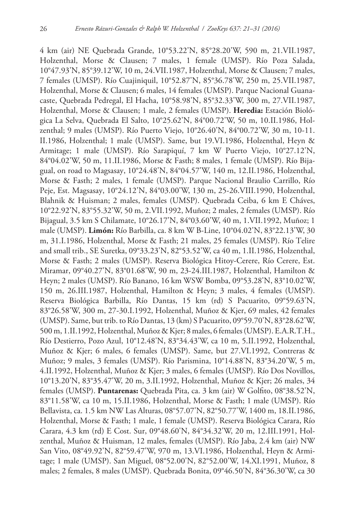4 km (air) NE Quebrada Grande, 10°53.22'N, 85°28.20'W, 590 m, 21.VII.1987, Holzenthal, Morse & Clausen; 7 males, 1 female (UMSP). Río Poza Salada, 10°47.93'N, 85°39.12'W, 10 m, 24.VII.1987, Holzenthal, Morse & Clausen; 7 males, 7 females (UMSP). Río Cuajiniquil, 10°52.87'N, 85°36.78'W, 250 m, 25.VII.1987, Holzenthal, Morse & Clausen; 6 males, 14 females (UMSP). Parque Nacional Guanacaste, Quebrada Pedregal, El Hacha, 10°58.98'N, 85°32.33'W, 300 m, 27.VII.1987, Holzenthal, Morse & Clausen; 1 male, 2 females (UMSP). **Heredia:** Estación Biológica La Selva, Quebrada El Salto, 10°25.62'N, 84°00.72'W, 50 m, 10.II.1986, Holzenthal; 9 males (UMSP). Río Puerto Viejo, 10°26.40'N, 84°00.72'W, 30 m, 10-11. II.1986, Holzenthal; 1 male (UMSP). Same, but 19.VI.1986, Holzenthal, Heyn & Armitage; 1 male (UMSP). Río Sarapiquí, 7 km W Puerto Viejo, 10°27.12'N, 84°04.02'W, 50 m, 11.II.1986, Morse & Fasth; 8 males, 1 female (UMSP). Río Bijagual, on road to Magsasay, 10°24.48'N, 84°04.57'W, 140 m, 12.II.1986, Holzenthal, Morse & Fasth; 2 males, 1 female (UMSP). Parque Nacional Braulio Carrillo, Río Peje, Est. Magsasay, 10°24.12'N, 84°03.00'W, 130 m, 25-26.VIII.1990, Holzenthal, Blahnik & Huisman; 2 males, females (UMSP). Quebrada Ceiba, 6 km E Cháves, 10°22.92'N, 83°55.32'W, 50 m, 2.VII.1992, Muñoz; 2 males, 2 females (UMSP). Río Bijagual, 3.5 km S Chilamate, 10°26.17'N, 84°03.60'W, 40 m, 1.VII.1992, Muñoz; 1 male (UMSP). **Limón:** Río Barbilla, ca. 8 km W B-Line, 10°04.02'N, 83°22.13'W, 30 m, 31.I.1986, Holzenthal, Morse & Fasth; 21 males, 25 females (UMSP). Río Telire and small trib., SE Suretka, 09°33.23'N, 82°53.52'W, ca 40 m, 1.II.1986, Holzenthal, Morse & Fasth; 2 males (UMSP). Reserva Biológica Hitoy-Cerere, Río Cerere, Est. Miramar, 09°40.27'N, 83°01.68'W, 90 m, 23-24.III.1987, Holzenthal, Hamilton & Heyn; 2 males (UMSP). Río Banano, 16 km WSW Bomba, 09°53.28'N, 83°10.02'W, 150 m, 26.III.1987, Holzenthal, Hamilton & Heyn; 3 males, 4 females (UMSP). Reserva Biológica Barbilla, Río Dantas, 15 km (rd) S Pacuarito, 09°59.63'N, 83°26.58'W, 300 m, 27-30.I.1992, Holzenthal, Muñoz & Kjer, 69 males, 42 females (UMSP). Same, but trib. to Río Dantas, 13 (km) S Pacuarito, 09°59.70'N, 83°28.62'W, 500 m, 1.II.1992, Holzenthal, Muñoz & Kjer; 8 males, 6 females (UMSP). E.A.R.T.H., Río Destierro, Pozo Azul, 10°12.48'N, 83°34.43'W, ca 10 m, 5.II.1992, Holzenthal, Muñoz & Kjer; 6 males, 6 females (UMSP). Same, but 27.VI.1992, Contreras & Muñoz; 9 males, 3 females (UMSP). Río Parismina, 10°14.88'N, 83°34.20'W, 5 m, 4.II.1992, Holzenthal, Muñoz & Kjer; 3 males, 6 females (UMSP). Río Dos Novillos, 10°13.20'N, 83°35.47'W, 20 m, 3.II.1992, Holzenthal, Muñoz & Kjer; 26 males, 34 females (UMSP). **Puntarenas:** Quebrada Pita, ca. 3 km (air) W Golfito, 08°38.52'N, 83°11.58'W, ca 10 m, 15.II.1986, Holzenthal, Morse & Fasth; 1 male (UMSP). Río Bellavista, ca. 1.5 km NW Las Alturas, 08°57.07'N, 82°50.77'W, 1400 m, 18.II.1986, Holzenthal, Morse & Fasth; 1 male, 1 female (UMSP). Reserva Biológica Carara, Río Carara, 4.3 km (rd) E Cost. Sur, 09°48.60'N, 84°34.32'W, 20 m, 12.III.1991, Holzenthal, Muñoz & Huisman, 12 males, females (UMSP). Río Jaba, 2.4 km (air) NW San Vito, 08°49.92'N, 82°59.47'W, 970 m, 13.VI.1986, Holzenthal, Heyn & Armitage; 1 male (UMSP). San Miguel, 08°52.00'N, 82°52.00'W, 14.XI.1991, Muñoz, 8 males; 2 females, 8 males (UMSP). Quebrada Bonita, 09°46.50'N, 84°36.30'W, ca 30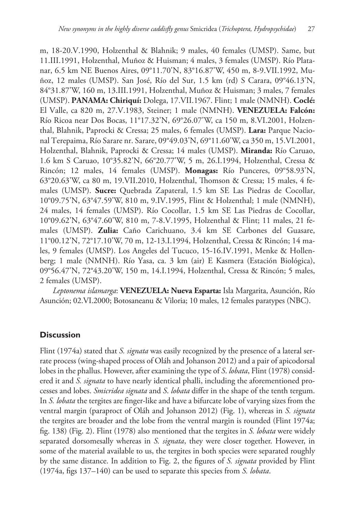m, 18-20.V.1990, Holzenthal & Blahnik; 9 males, 40 females (UMSP). Same, but 11.III.1991, Holzenthal, Muñoz & Huisman; 4 males, 3 females (UMSP). Río Platanar, 6.5 km NE Buenos Aires, 09°11.70'N, 83°16.87'W, 450 m, 8-9.VII.1992, Muñoz, 12 males (UMSP). San José, Río del Sur, 1.5 km (rd) S Carara, 09°46.13'N, 84°31.87'W, 160 m, 13.III.1991, Holzenthal, Muñoz & Huisman; 3 males, 7 females (UMSP). **PANAMA: Chiriquí:** Dolega, 17.VII.1967. Flint; 1 male (NMNH). **Coclé:**  El Valle, ca 820 m, 27.V.1983, Steiner; 1 male (NMNH). **VENEZUELA: Falcón:** Río Ricoa near Dos Bocas, 11°17.32'N, 69°26.07'W, ca 150 m, 8.VI.2001, Holzenthal, Blahnik, Paprocki & Cressa; 25 males, 6 females (UMSP). **Lara:** Parque Nacional Terepaima, Río Sarare nr. Sarare, 09°49.03'N, 69°11.60'W, ca 350 m, 15.VI.2001, Holzenthal, Blahnik, Paprocki & Cressa; 14 males (UMSP). **Miranda:** Río Caruao, 1.6 km S Caruao, 10°35.82'N, 66°20.77'W, 5 m, 26.I.1994, Holzenthal, Cressa & Rincón; 12 males, 14 females (UMSP). **Monagas:** Río Punceres, 09°58.93'N, 63°20.63'W, ca 80 m, 19.VII.2010, Holzenthal, Thomson & Cressa; 15 males, 4 females (UMSP). **Sucre:** Quebrada Zapateral, 1.5 km SE Las Piedras de Cocollar, 10°09.75'N, 63°47.59'W, 810 m, 9.IV.1995, Flint & Holzenthal; 1 male (NMNH), 24 males, 14 females (UMSP). Río Cocollar, 1.5 km SE Las Piedras de Cocollar, 10°09.62'N, 63°47.60'W, 810 m, 7-8.V.1995, Holzenthal & Flint; 11 males, 21 females (UMSP). **Zulia:** Caño Carichuano, 3.4 km SE Carbones del Guasare, 11°00.12'N, 72°17.10'W, 70 m, 12-13.I.1994, Holzenthal, Cressa & Rincón; 14 males, 9 females (UMSP). Los Angeles del Tucuco, 15-16.IV.1991, Menke & Hollenberg; 1 male (NMNH). Río Yasa, ca. 3 km (air) E Kasmera (Estación Biológica), 09°56.47'N, 72°43.20'W, 150 m, 14.I.1994, Holzenthal, Cressa & Rincón; 5 males, 2 females (UMSP).

*Leptonema islamarga*: **VENEZUELA: Nueva Esparta:** Isla Margarita, Asunción, Río Asunción; 02.VI.2000; Botosaneanu & Viloria; 10 males, 12 females paratypes (NBC).

# **Discussion**

Flint (1974a) stated that *S. signata* was easily recognized by the presence of a lateral serrate process (wing-shaped process of Oláh and Johanson 2012) and a pair of apicodorsal lobes in the phallus. However, after examining the type of *S*. *lobata*, Flint (1978) considered it and *S. signata* to have nearly identical phalli, including the aforementioned processes and lobes. *Smicridea signata* and *S*. *lobata* differ in the shape of the tenth tergum. In *S. lobata* the tergites are finger-like and have a bifurcate lobe of varying sizes from the ventral margin (paraproct of Oláh and Johanson 2012) (Fig. 1), whereas in *S. signata*  the tergites are broader and the lobe from the ventral margin is rounded (Flint 1974a; fig. 138) (Fig. 2). Flint (1978) also mentioned that the tergites in *S. lobata* were widely separated dorsomesally whereas in *S. signata*, they were closer together. However, in some of the material available to us, the tergites in both species were separated roughly by the same distance. In addition to Fig. 2, the figures of *S. signata* provided by Flint (1974a, figs 137–140) can be used to separate this species from *S. lobata*.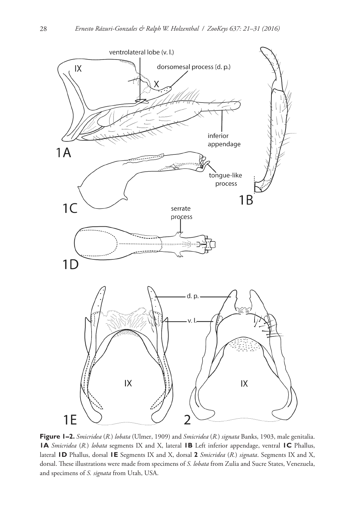

**Figure 1–2.** *Smicridea* (*R.*) *lobata* (Ulmer, 1909) and *Smicridea* (*R.*) *signata* Banks, 1903, male genitalia. **1A** *Smicridea* (*R.*) *lobata* segments IX and X, lateral **1B** Left inferior appendage, ventral **1C** Phallus, lateral **1D** Phallus, dorsal **1E** Segments IX and X, dorsal **2** *Smicridea* (*R.*) *signata*. Segments IX and X, dorsal. These illustrations were made from specimens of *S. lobata* from Zulia and Sucre States, Venezuela, and specimens of *S. signata* from Utah, USA.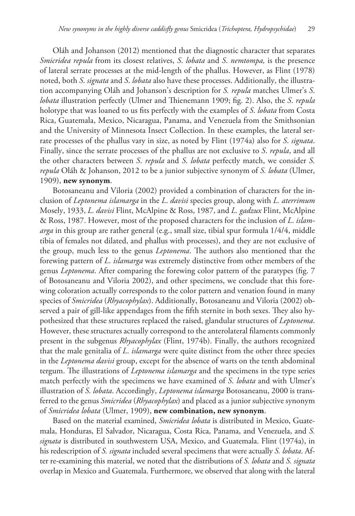Oláh and Johanson (2012) mentioned that the diagnostic character that separates *Smicridea repula* from its closest relatives, *S*. *lobata* and *S*. *nemtompa,* is the presence of lateral serrate processes at the mid-length of the phallus. However, as Flint (1978) noted, both *S*. *signata* and *S*. *lobata* also have these processes. Additionally, the illustration accompanying Oláh and Johanson's description for *S. repula* matches Ulmer's *S*. *lobata* illustration perfectly (Ulmer and Thienemann 1909; fig. 2). Also, the *S*. *repula* holotype that was loaned to us fits perfectly with the examples of *S*. *lobata* from Costa Rica, Guatemala, Mexico, Nicaragua, Panama, and Venezuela from the Smithsonian and the University of Minnesota Insect Collection. In these examples, the lateral serrate processes of the phallus vary in size, as noted by Flint (1974a) also for *S*. *signata*. Finally, since the serrate processes of the phallus are not exclusive to *S*. *repula*, and all the other characters between *S*. *repula* and *S*. *lobata* perfectly match, we consider *S. repula* Oláh & Johanson, 2012 to be a junior subjective synonym of *S. lobata* (Ulmer, 1909), **new synonym**.

Botosaneanu and Viloria (2002) provided a combination of characters for the inclusion of *Leptonema islamarga* in the *L*. *davisi* species group, along with *L. aterrimum* Mosely, 1933, *L. davisi* Flint, McAlpine & Ross, 1987, and *L. gadzux* Flint, McAlpine & Ross, 1987. However, most of the proposed characters for the inclusion of *L*. *islamarga* in this group are rather general (e.g., small size, tibial spur formula 1/4/4, middle tibia of females not dilated, and phallus with processes), and they are not exclusive of the group, much less to the genus *Leptonema*. The authors also mentioned that the forewing pattern of *L*. *islamarga* was extremely distinctive from other members of the genus *Leptonema*. After comparing the forewing color pattern of the paratypes (fig. 7 of Botosaneanu and Viloria 2002), and other specimens, we conclude that this forewing coloration actually corresponds to the color pattern and venation found in many species of *Smicridea* (*Rhyacophylax*). Additionally, Botosaneanu and Viloria (2002) observed a pair of gill-like appendages from the fifth sternite in both sexes. They also hypothesized that these structures replaced the raised, glandular structures of *Leptonema*. However, these structures actually correspond to the anterolateral filaments commonly present in the subgenus *Rhyacophylax* (Flint, 1974b). Finally, the authors recognized that the male genitalia of *L*. *islamarga* were quite distinct from the other three species in the *Leptonema davisi* group, except for the absence of warts on the tenth abdominal tergum. The illustrations of *Leptonema islamarga* and the specimens in the type series match perfectly with the specimens we have examined of *S*. *lobata* and with Ulmer's illustration of *S*. *lobata*. Accordingly, *Leptonema islamarga* Botosaneanu, 2000 is transferred to the genus *Smicridea* (*Rhyacophylax*) and placed as a junior subjective synonym of *Smicridea lobata* (Ulmer, 1909), **new combination, new synonym**.

Based on the material examined, *Smicridea lobata* is distributed in Mexico, Guatemala, Honduras, El Salvador, Nicaragua, Costa Rica, Panama, and Venezuela, and *S. signata* is distributed in southwestern USA, Mexico, and Guatemala. Flint (1974a), in his redescription of *S. signata* included several specimens that were actually *S. lobata*. After re-examining this material, we noted that the distributions of *S. lobata* and *S. signata* overlap in Mexico and Guatemala. Furthermore, we observed that along with the lateral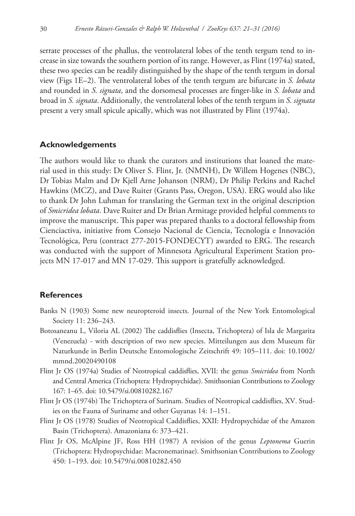serrate processes of the phallus, the ventrolateral lobes of the tenth tergum tend to increase in size towards the southern portion of its range. However, as Flint (1974a) stated, these two species can be readily distinguished by the shape of the tenth tergum in dorsal view (Figs 1E–2). The ventrolateral lobes of the tenth tergum are bifurcate in *S. lobata*  and rounded in *S. signata*, and the dorsomesal processes are finger-like in *S. lobata* and broad in *S. signata*. Additionally, the ventrolateral lobes of the tenth tergum in *S. signata*  present a very small spicule apically, which was not illustrated by Flint (1974a).

## **Acknowledgements**

The authors would like to thank the curators and institutions that loaned the material used in this study: Dr Oliver S. Flint, Jr. (NMNH), Dr Willem Hogenes (NBC), Dr Tobias Malm and Dr Kjell Arne Johanson (NRM), Dr Philip Perkins and Rachel Hawkins (MCZ), and Dave Ruiter (Grants Pass, Oregon, USA). ERG would also like to thank Dr John Luhman for translating the German text in the original description of *Smicridea lobata*. Dave Ruiter and Dr Brian Armitage provided helpful comments to improve the manuscript. This paper was prepared thanks to a doctoral fellowship from Cienciactiva, initiative from Consejo Nacional de Ciencia, Tecnología e Innovación Tecnológica, Peru (contract 277-2015-FONDECYT) awarded to ERG. The research was conducted with the support of Minnesota Agricultural Experiment Station projects MN 17-017 and MN 17-029. This support is gratefully acknowledged.

## **References**

- Banks N (1903) Some new neuropteroid insects. Journal of the New York Entomological Society 11: 236–243.
- Botosaneanu L, Viloria AL (2002) The caddisflies (Insecta, Trichoptera) of Isla de Margarita (Venezuela) - with description of two new species. Mitteilungen aus dem Museum für Naturkunde in Berlin Deutsche Entomologische Zeitschrift 49: 105–111. [doi: 10.1002/](https://doi.org/10.1002/mmnd.20020490108) [mmnd.20020490108](https://doi.org/10.1002/mmnd.20020490108)
- Flint Jr OS (1974a) Studies of Neotropical caddisflies, XVII: the genus *Smicridea* from North and Central America (Trichoptera: Hydropsychidae). Smithsonian Contributions to Zoology 167: 1–65. [doi: 10.5479/si.00810282.167](https://doi.org/10.5479/si.00810282.167)
- Flint Jr OS (1974b) The Trichoptera of Surinam. Studies of Neotropical caddisflies, XV. Studies on the Fauna of Suriname and other Guyanas 14: 1–151.
- Flint Jr OS (1978) Studies of Neotropical Caddisflies, XXII: Hydropsychidae of the Amazon Basin (Trichoptera). Amazoniana 6: 373–421.
- Flint Jr OS, McAlpine JF, Ross HH (1987) A revision of the genus *Leptonema* Guerin (Trichoptera: Hydropsychidae: Macronematinae). Smithsonian Contributions to Zoology 450: 1–193. [doi: 10.5479/si.00810282.450](https://doi.org/10.5479/si.00810282.450)